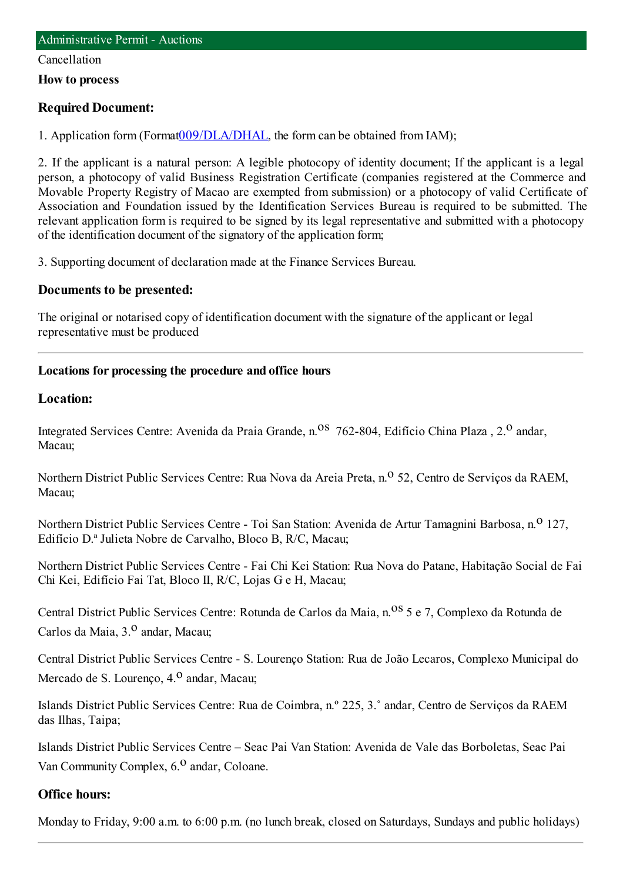#### Cancellation

**How to process**

#### **Required Document:**

1. Application form(Format[009/DLA/DHAL](http://www.iam.gov.mo/c/pdf/eformDetail/PDF363), the formcan be obtained fromIAM);

2. If the applicant is a natural person: A legible photocopy of identity document; If the applicant is a legal person, a photocopy of valid Business Registration Certificate (companies registered at the Commerce and Movable Property Registry of Macao are exempted from submission) or a photocopy of valid Certificate of Association and Foundation issued by the Identification Services Bureau is required to be submitted. The relevant application form is required to be signed by its legal representative and submitted with a photocopy of the identification document of the signatory of the application form;

3. Supporting document of declaration made at the Finance Services Bureau.

#### **Documents to be presented:**

The original or notarised copy of identification document with the signature of the applicant or legal representative must be produced

#### **Locations for processing the procedure and office hours**

#### **Location:**

Integrated Services Centre: Avenida da Praia Grande, n.<sup>08</sup> 762-804, Edifício China Plaza , 2.<sup>0</sup> andar. Macau;

Northern District Public Services Centre: Rua Nova da Areia Preta, n.<sup>o</sup> 52, Centro de Serviços da RAEM, Macau;

Northern District Public Services Centre - Toi San Station: Avenida de Artur Tamagnini Barbosa, n.<sup>0</sup> 127, Edifício D.ª Julieta Nobre de Carvalho, Bloco B, R/C, Macau;

Northern District Public Services Centre - Fai Chi Kei Station: Rua Nova do Patane, Habitação Social de Fai Chi Kei, Edifício Fai Tat, Bloco II, R/C, Lojas G e H, Macau;

Central District Public Services Centre: Rotunda de Carlos da Maia, n.<sup>08</sup> 5 e 7, Complexo da Rotunda de Carlos da Maia, 3.<sup>0</sup> andar, Macau;

Central District Public Services Centre - S. Lourenço Station: Rua de João Lecaros, Complexo Municipal do Mercado de S. Lourenço, 4.<sup>0</sup> andar, Macau;

Islands District Public Services Centre: Rua de Coimbra, n.º 225, 3.˚ andar, Centro de Serviços da RAEM das Ilhas, Taipa;

Islands District Public Services Centre – Seac Pai Van Station: Avenida de Vale das Borboletas, Seac Pai Van Community Complex, 6.<sup>0</sup> andar, Coloane.

#### **Office hours:**

Monday to Friday, 9:00 a.m. to 6:00 p.m. (no lunch break, closed on Saturdays, Sundays and public holidays)